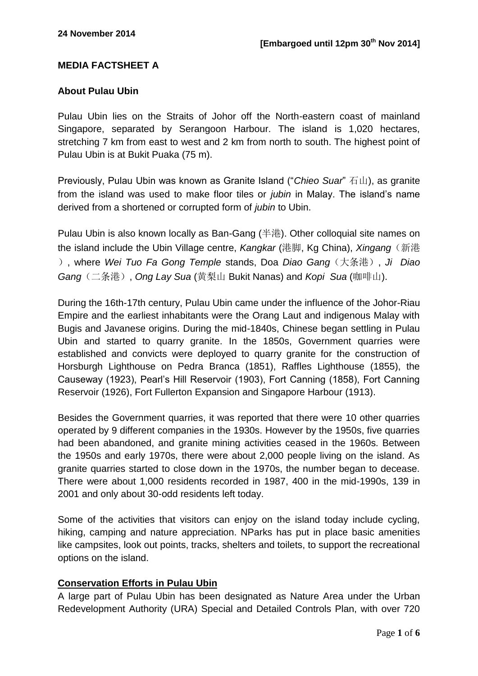## **MEDIA FACTSHEET A**

#### **About Pulau Ubin**

Pulau Ubin lies on the Straits of Johor off the North-eastern coast of mainland Singapore, separated by Serangoon Harbour. The island is 1,020 hectares, stretching 7 km from east to west and 2 km from north to south. The highest point of Pulau Ubin is at Bukit Puaka (75 m).

Previously, Pulau Ubin was known as Granite Island ("Chieo Suar" 石山), as granite from the island was used to make floor tiles or *jubin* in Malay. The island's name derived from a shortened or corrupted form of *jubin* to Ubin.

Pulau Ubin is also known locally as Ban-Gang (半港). Other colloquial site names on the island include the Ubin Village centre, *Kangkar* (港脚, Kg China), *Xingang*(新港 ), where *Wei Tuo Fa Gong Temple* stands, Doa *Diao Gang*(大条港), *Ji Diao Gang*(二条港), *Ong Lay Sua* (黄梨山 Bukit Nanas) and *Kopi Sua* (咖啡山).

During the 16th-17th century, Pulau Ubin came under the influence of the Johor-Riau Empire and the earliest inhabitants were the Orang Laut and indigenous Malay with Bugis and Javanese origins. During the mid-1840s, Chinese began settling in Pulau Ubin and started to quarry granite. In the 1850s, Government quarries were established and convicts were deployed to quarry granite for the construction of Horsburgh Lighthouse on Pedra Branca (1851), Raffles Lighthouse (1855), the Causeway (1923), Pearl's Hill Reservoir (1903), Fort Canning (1858), Fort Canning Reservoir (1926), Fort Fullerton Expansion and Singapore Harbour (1913).

Besides the Government quarries, it was reported that there were 10 other quarries operated by 9 different companies in the 1930s. However by the 1950s, five quarries had been abandoned, and granite mining activities ceased in the 1960s. Between the 1950s and early 1970s, there were about 2,000 people living on the island. As granite quarries started to close down in the 1970s, the number began to decease. There were about 1,000 residents recorded in 1987, 400 in the mid-1990s, 139 in 2001 and only about 30-odd residents left today.

Some of the activities that visitors can enjoy on the island today include cycling, hiking, camping and nature appreciation. NParks has put in place basic amenities like campsites, look out points, tracks, shelters and toilets, to support the recreational options on the island.

#### **Conservation Efforts in Pulau Ubin**

A large part of Pulau Ubin has been designated as Nature Area under the Urban Redevelopment Authority (URA) Special and Detailed Controls Plan, with over 720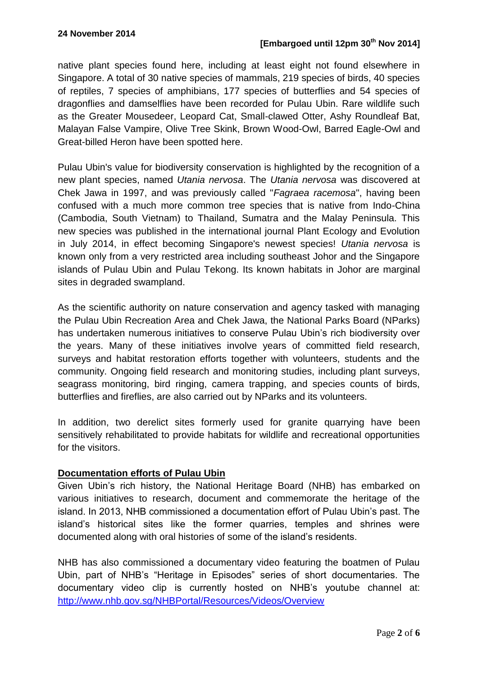native plant species found here, including at least eight not found elsewhere in Singapore. A total of 30 native species of mammals, 219 species of birds, 40 species of reptiles, 7 species of amphibians, 177 species of butterflies and 54 species of dragonflies and damselflies have been recorded for Pulau Ubin. Rare wildlife such as the Greater Mousedeer, Leopard Cat, Small-clawed Otter, Ashy Roundleaf Bat, Malayan False Vampire, Olive Tree Skink, Brown Wood-Owl, Barred Eagle-Owl and Great-billed Heron have been spotted here.

Pulau Ubin's value for biodiversity conservation is highlighted by the recognition of a new plant species, named *Utania nervosa*. The *Utania nervosa* was discovered at Chek Jawa in 1997, and was previously called "*Fagraea racemosa*", having been confused with a much more common tree species that is native from Indo-China (Cambodia, South Vietnam) to Thailand, Sumatra and the Malay Peninsula. This new species was published in the international journal Plant Ecology and Evolution in July 2014, in effect becoming Singapore's newest species! *Utania nervosa* is known only from a very restricted area including southeast Johor and the Singapore islands of Pulau Ubin and Pulau Tekong. Its known habitats in Johor are marginal sites in degraded swampland.

As the scientific authority on nature conservation and agency tasked with managing the Pulau Ubin Recreation Area and Chek Jawa, the National Parks Board (NParks) has undertaken numerous initiatives to conserve Pulau Ubin's rich biodiversity over the years. Many of these initiatives involve years of committed field research, surveys and habitat restoration efforts together with volunteers, students and the community. Ongoing field research and monitoring studies, including plant surveys, seagrass monitoring, bird ringing, camera trapping, and species counts of birds, butterflies and fireflies, are also carried out by NParks and its volunteers.

In addition, two derelict sites formerly used for granite quarrying have been sensitively rehabilitated to provide habitats for wildlife and recreational opportunities for the visitors.

# **Documentation efforts of Pulau Ubin**

Given Ubin's rich history, the National Heritage Board (NHB) has embarked on various initiatives to research, document and commemorate the heritage of the island. In 2013, NHB commissioned a documentation effort of Pulau Ubin's past. The island's historical sites like the former quarries, temples and shrines were documented along with oral histories of some of the island's residents.

NHB has also commissioned a documentary video featuring the boatmen of Pulau Ubin, part of NHB's "Heritage in Episodes" series of short documentaries. The documentary video clip is currently hosted on NHB's youtube channel at: <http://www.nhb.gov.sg/NHBPortal/Resources/Videos/Overview>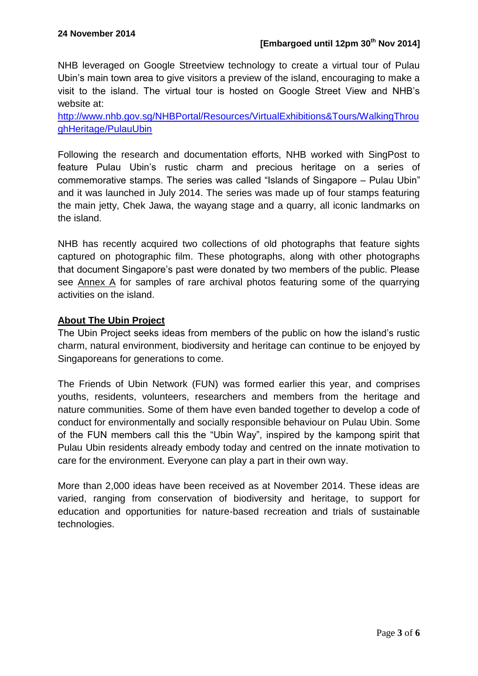NHB leveraged on Google Streetview technology to create a virtual tour of Pulau Ubin's main town area to give visitors a preview of the island, encouraging to make a visit to the island. The virtual tour is hosted on Google Street View and NHB's website at:

[http://www.nhb.gov.sg/NHBPortal/Resources/VirtualExhibitions&Tours/WalkingThrou](http://www.nhb.gov.sg/NHBPortal/Resources/VirtualExhibitions&Tours/WalkingThroughHeritage/PulauUbin) [ghHeritage/PulauUbin](http://www.nhb.gov.sg/NHBPortal/Resources/VirtualExhibitions&Tours/WalkingThroughHeritage/PulauUbin)

Following the research and documentation efforts, NHB worked with SingPost to feature Pulau Ubin's rustic charm and precious heritage on a series of commemorative stamps. The series was called "Islands of Singapore – Pulau Ubin" and it was launched in July 2014. The series was made up of four stamps featuring the main jetty, Chek Jawa, the wayang stage and a quarry, all iconic landmarks on the island.

NHB has recently acquired two collections of old photographs that feature sights captured on photographic film. These photographs, along with other photographs that document Singapore's past were donated by two members of the public. Please see Annex A for samples of rare archival photos featuring some of the quarrying activities on the island.

# **About The Ubin Project**

The Ubin Project seeks ideas from members of the public on how the island's rustic charm, natural environment, biodiversity and heritage can continue to be enjoyed by Singaporeans for generations to come.

The Friends of Ubin Network (FUN) was formed earlier this year, and comprises youths, residents, volunteers, researchers and members from the heritage and nature communities. Some of them have even banded together to develop a code of conduct for environmentally and socially responsible behaviour on Pulau Ubin. Some of the FUN members call this the "Ubin Way", inspired by the kampong spirit that Pulau Ubin residents already embody today and centred on the innate motivation to care for the environment. Everyone can play a part in their own way.

More than 2,000 ideas have been received as at November 2014. These ideas are varied, ranging from conservation of biodiversity and heritage, to support for education and opportunities for nature-based recreation and trials of sustainable technologies.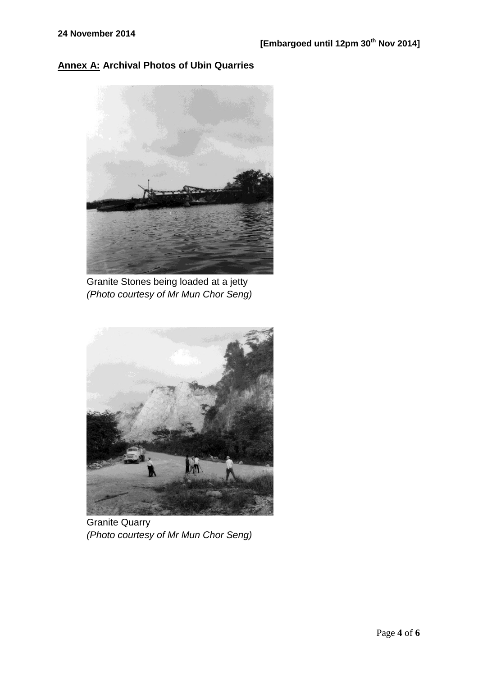# **Annex A: Archival Photos of Ubin Quarries**



Granite Stones being loaded at a jetty *(Photo courtesy of Mr Mun Chor Seng)*



Granite Quarry *(Photo courtesy of Mr Mun Chor Seng)*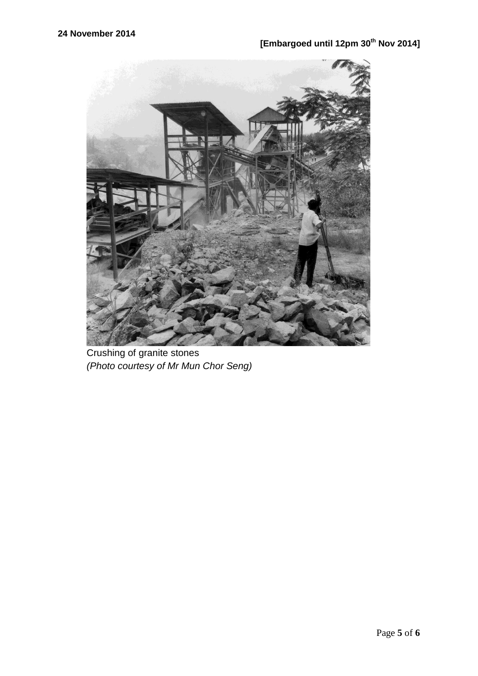

Crushing of granite stones *(Photo courtesy of Mr Mun Chor Seng)*